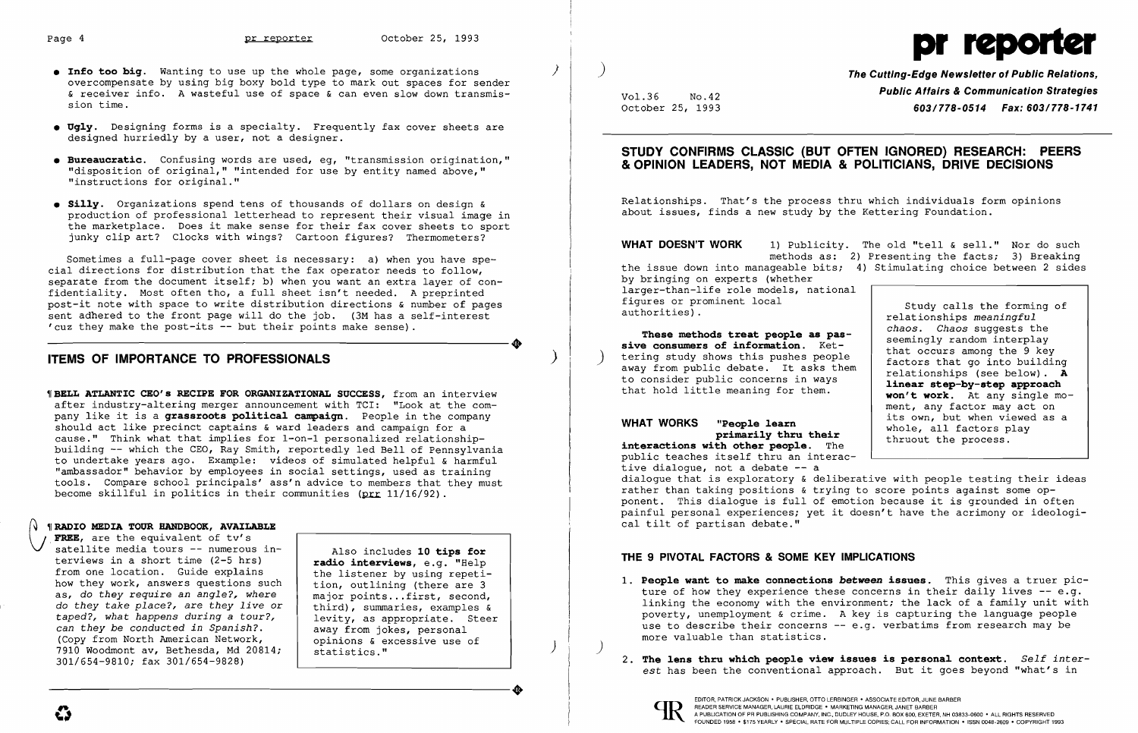- **Info too big.** Wanting to use up the whole page, some organizations overcompensate by using big boxy bold type to mark out spaces for sender & receiver info. A wasteful use of space & can even slow down transmission time.
- **• Og1y.** Designing forms is a specialty. Frequently fax cover sheets are designed hurriedly by a user, not a designer.
- **• Bureaucratic.** Confusing words are used, eg, "transmission origination," "disposition of original," "intended for use by entity named above," "instructions for original."
- **• Si11y.** Organizations spend tens of thousands of dollars on design & production of professional letterhead to represent their visual image in the marketplace. Does it make sense for their fax cover sheets to sport junky clip art? Clocks with wings? Cartoon figures? Thermometers?

Sometimes a full-page cover sheet is necessary: a) when you have special directions for distribution that the fax operator needs to follow, separate from the document itself; b) when you want an extra layer of confidentiality. Most often tho, a full sheet isn't needed. A preprinted post-it note with space to write distribution directions & number of pages sent adhered to the front page will do the job. (3M has a self-interest 'cuz they make the post-its -- but their points make sense). post-it note with space to write distribution directions a number of pages<br>sent adhered to the front page will do the job. (3M has a self-interest<br>'cuz they make the post-its -- but their points make sense).

### **ITEMS OF IMPORTANCE TO PROFESSIONALS**

*\BELL ATLANTIC CEO's RECIPE FOR ORGANIZATIONAL SUCCESS, from an interview* after industry-altering merger announcement with TCI: "Look at the company like it is a **grassroots po1itica1 campaign.** People in the company should act like precinct captains & ward leaders and campaign for a cause." Think what that implies for 1-on-1 personalized relationshipbuilding -- which the CEO, Ray Smith, reportedly led Bell of Pennsylvania to undertake years ago. Example: videos of simulated helpful & harmful "ambassador" behavior by employees in social settings, used as training tools. Compare school principals' ass'n advice to members that they must become skillful in politics in their communities ( $prr$  11/16/92).

**WEDIA TOUR HANDBOOK, AVAILABLE**<br> **FREE,** are the equivalent of tv's<br>
satellite media tours -- numerous in-<br>
torvious in a short time (2-5 hrs) **FREE,** are the equivalent of tv's satellite media tours -- numerous interviews in a short time (2-5 hrs) from one location. Guide explains how they work, answers questions such as, do *they require an angle?, where*  do *they take place?, are they live* or *taped?, what happens during* a *tour?, can they be conducted in Spanish?*  (Copy from North American Network, 7910 Woodmont av, Bethesda, Md 20814; 301/654-9810; fax 301/654-9828)  $-301/654-9810$ ; fax  $301/654-9828$ )

These methods treat people as pas **sive consumers of information.** Ket tering study shows this pushes people away from public debate. It asks the to consider public concerns in ways that hold little meaning for them.

Also includes **10 tips for radio interviews,** e.g. "Help the listener by using repetition, outlining (there are 3 major points ...first, second, third), summaries, examples & levity, as appropriate. Steer away from jokes, personal opinions & excessive use of statistics."

)

 $\left( \right)$ 

Vol.36 No.42 October 25, 1993 **The Cutting-Edge Newsletter of Public Relations, Public Affairs & Communication Strategies**  *603/778-0514 Fax: 603/778-1741* 

### **STUDY CONFIRMS CLASSIC (BUT OFTEN IGNORED) RESEARCH: PEERS & OPINION LEADERS, NOT MEDIA & POLITICIANS, DRIVE DECISIONS**

Relationships. That's the process thru which individuals form opinions about issues, finds a new study by the Kettering Foundation.

**WHAT DOESN'T WORK** 1) Publicity. The old "tell & sell." Nor do such methods as: 2) Presenting the facts; 3) Breaking the issue down into manageable bits; 4) Stimulating choice between 2 sides by bringing on experts (whether larger-than-life role models, national figures or prominent local authorities) . Study calls the forming of

| la 1     |                                                                                                                                                                                                                                                                                                                                                                                                       |
|----------|-------------------------------------------------------------------------------------------------------------------------------------------------------------------------------------------------------------------------------------------------------------------------------------------------------------------------------------------------------------------------------------------------------|
| .e<br>em | Study calls the forming of<br>relationships meaningful<br>chaos. Chaos suggests the<br>seemingly random interplay<br>that occurs among the 9 key<br>factors that go into building<br>relationships (see below). A<br>linear step-by-step approach<br>won't work. At any single mo-<br>ment, any factor may act on<br>its own, but when viewed as a<br>whole, all factors play<br>thruout the process. |

1. People want to make connections between issues. This gives a truer pic ture of how they experience these concerns in their daily lives -- e.g. linking the economy with the environment; the lack of a family unit with poverty, unemployment & crime. A key is capturing the language people use to describe their concerns -- e.g. verbatims from research may be

**WHAT WORKS "Peop1e 1earn primari1y thru their interactions with other peop1e.** The public teaches itself thru an interactive dialogue, not a debate -- <sup>a</sup> whole, all factors play thruout the process. dialogue that is exploratory & deliberative with people testing their ideas rather than taking positions & trying to score points against some oprather than taking positions « trying to score points against some op-<br>ponent. This dialogue is full of emotion because it is grounded in often ponent. This dialogue is full of emotion because it is grounded in often<br>painful personal experiences; yet it doesn't have the acrimony or ideologi cal tilt of partisan debate."

### **THE 9 PIVOTAL FACTORS & SOME KEY IMPLICATIONS**

- more valuable than statistics.
- 



)

2. **The 1ens thru which peop1e view issues is persona1 context.** *Self interest* has been the conventional approach. But it goes beyond "what's in

)

 $\mathbf{\Omega}$ 

# Page 4 **pr reporter** October 25, 1993 pr **pr reporter** October 25, 1993